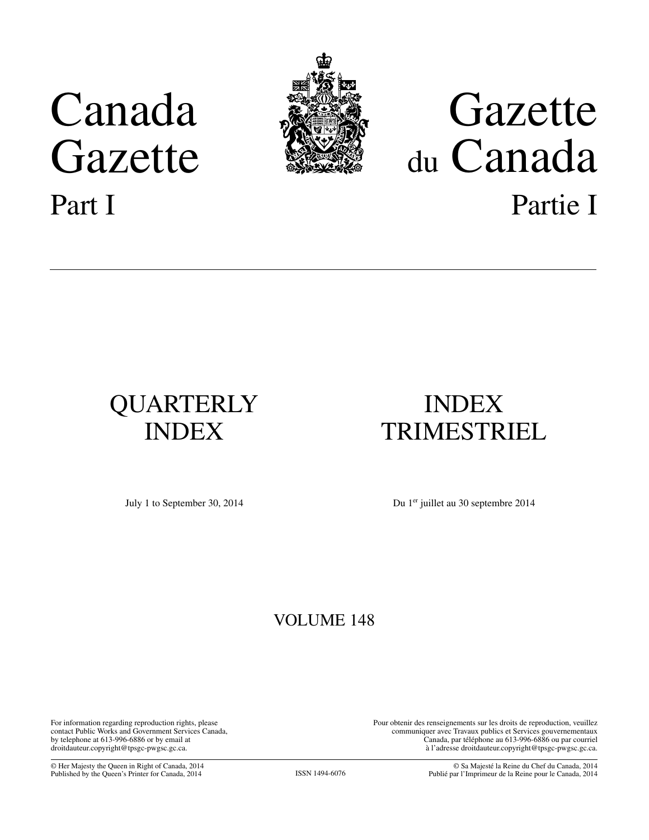# Canada Gazette Part I



# Gazette du Canada Partie I

# QUARTERLY INDEX

# INDEX TRIMESTRIEL

July 1 to September 30, 2014

Du 1<sup>er</sup> juillet au 30 septembre 2014

### VOLUME 148

For information regarding reproduction rights, please contact Public Works and Government Services Canada, by telephone at 613-996-6886 or by email at droitdauteur.copyright@tpsgc-pwgsc.gc.ca.

Pour obtenir des renseignements sur les droits de reproduction, veuillez communiquer avec Travaux publics et Services gouvernementaux Canada, par téléphone au 613-996-6886 ou par courriel à l'adresse droitdauteur.copyright@tpsgc-pwgsc.gc.ca.

© Her Majesty the Queen in Right of Canada, 2014 Published by the Queen's Printer for Canada, 2014 ISSN 1494-6076

© Sa Majesté la Reine du Chef du Canada, 2014 Publié par l'Imprimeur de la Reine pour le Canada, 2014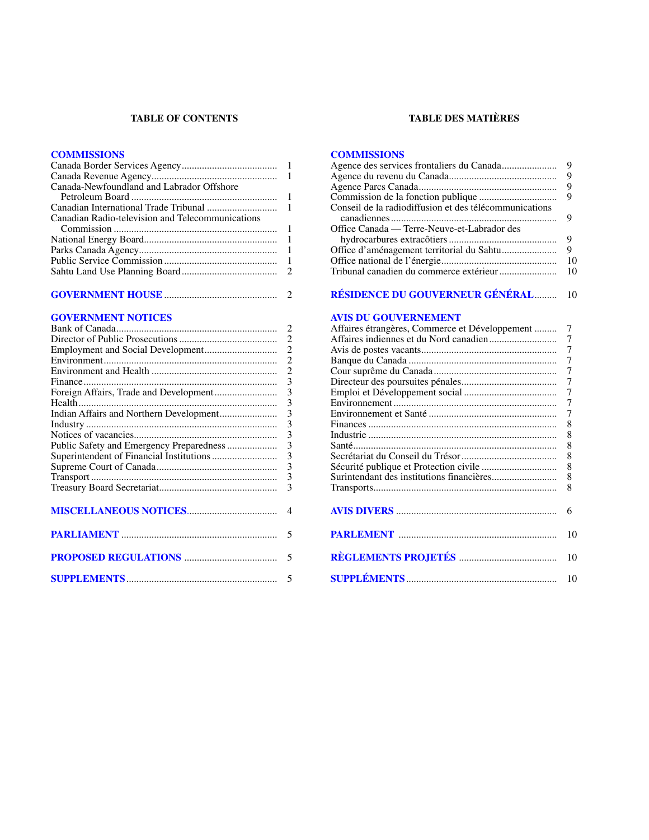#### **TABLE OF CONTENTS**

#### **[COMMISSIONS](#page-2-0)**

| Canada-Newfoundland and Labrador Offshore        |  |
|--------------------------------------------------|--|
|                                                  |  |
|                                                  |  |
| Canadian Radio-television and Telecommunications |  |
|                                                  |  |
|                                                  |  |
|                                                  |  |
|                                                  |  |
|                                                  |  |
|                                                  |  |

#### **GOVERNMENT HOUSE**[.............................................](#page-3-0) 2

#### **[GOVERNMENT NOTICES](#page-3-0)**

#### **TABLE DES MATIÈRES**

#### **[COMMISSIONS](#page-10-0)**

| Conseil de la radiodiffusion et des télécommunications<br>Office Canada — Terre-Neuve-et-Labrador des |    |
|-------------------------------------------------------------------------------------------------------|----|
|                                                                                                       |    |
|                                                                                                       | 9  |
|                                                                                                       |    |
|                                                                                                       |    |
|                                                                                                       | Q  |
|                                                                                                       |    |
|                                                                                                       | 10 |
|                                                                                                       |    |

#### **[RÉSIDENCE DU GOUVERNEUR GÉNÉRAL](#page-11-0)**......... 10

#### **[AVIS DU GOUVERNEMENT](#page-8-0)**

| Affaires étrangères, Commerce et Développement | 7  |
|------------------------------------------------|----|
|                                                | 7  |
|                                                | 7  |
|                                                | 7  |
|                                                | 7  |
|                                                | 7  |
|                                                | 7  |
|                                                | 7  |
|                                                | 7  |
|                                                | 8  |
|                                                | 8  |
|                                                | 8  |
|                                                | 8  |
|                                                | 8  |
|                                                | 8  |
|                                                | 8  |
|                                                |    |
|                                                | 6  |
|                                                |    |
|                                                | 10 |
|                                                |    |
|                                                | 10 |
|                                                |    |
|                                                | 10 |
|                                                |    |
|                                                |    |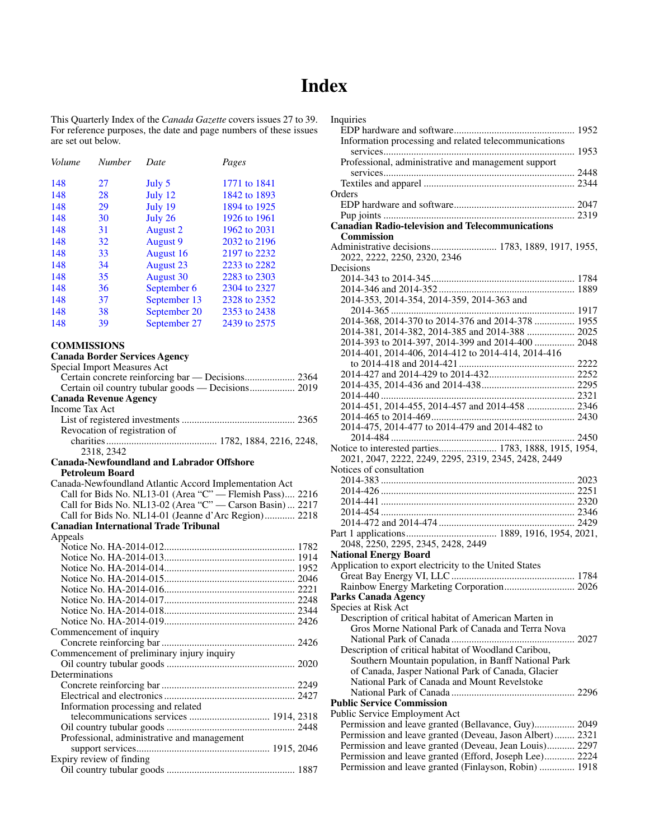### **Index**

Inquiries

<span id="page-2-0"></span>This Quarterly Index of the *Canada Gazette* covers issues 27 to 39. For reference purposes, the date and page numbers of these issues are set out below.

| Volume | <b>Number</b> | Date             | Pages        |
|--------|---------------|------------------|--------------|
| 148    | 27            | July 5           | 1771 to 1841 |
| 148    | 28            | July 12          | 1842 to 1893 |
| 148    | 29            | July 19          | 1894 to 1925 |
| 148    | 30            | July 26          | 1926 to 1961 |
| 148    | 31            | <b>August 2</b>  | 1962 to 2031 |
| 148    | 32            | <b>August 9</b>  | 2032 to 2196 |
| 148    | 33            | August 16        | 2197 to 2232 |
| 148    | 34            | <b>August 23</b> | 2233 to 2282 |
| 148    | 35            | <b>August</b> 30 | 2283 to 2303 |
| 148    | 36            | September 6      | 2304 to 2327 |
| 148    | 37            | September 13     | 2328 to 2352 |
| 148    | 38            | September 20     | 2353 to 2438 |
| 148    | 39            | September 27     | 2439 to 2575 |

#### **COMMISSIONS**

#### **Canada Border Services Agency**

Special Import Measures Act Certain concrete reinforcing bar — Decisions.................... 2364 Certain oil country tubular goods — Decisions.................. 2019 **Canada Revenue Agency** Income Tax Act List of registered investments ............................................. 2365 Revocation of registration of charities............................................ 1782, 1884, 2216, 2248, 2318, 2342 **Canada-Newfoundland and Labrador Offshore Petroleum Board** Canada-Newfoundland Atlantic Accord Implementation Act Call for Bids No. NL13-01 (Area "C" — Flemish Pass).... 2216 Call for Bids No. NL13-02 (Area "C" — Carson Basin) ... 2217 Call for Bids No. NL14-01 (Jeanne d'Arc Region)............ 2218 **Canadian International Trade Tribunal** Appeals Notice No. HA-2014-012.................................................... 1782 Notice No. HA-2014-013.................................................... 1914 Notice No. HA-2014-014.................................................... 1952 Notice No. HA-2014-015.................................................... 2046 Notice No. HA-2014-016.................................................... 2221 Notice No. HA-2014-017.................................................... 2248 Notice No. HA-2014-018.................................................... 2344 Notice No. HA-2014-019.................................................... 2426 Commencement of inquiry Concrete reinforcing bar ..................................................... 2426 Commencement of preliminary injury inquiry Oil country tubular goods ................................................... 2020 Determinations Concrete reinforcing bar ..................................................... 2249 Electrical and electronics.................................................... 2427 Information processing and related telecommunications services ................................ 1914, 2318 Oil country tubular goods ................................................... 2448 Professional, administrative and management support services..................................................... 1915, 2046

| Expiry review of finding |  |
|--------------------------|--|
|                          |  |

| mqunics                                                                                                         |  |
|-----------------------------------------------------------------------------------------------------------------|--|
| Information processing and related telecommunications                                                           |  |
|                                                                                                                 |  |
|                                                                                                                 |  |
| Professional, administrative and management support                                                             |  |
|                                                                                                                 |  |
|                                                                                                                 |  |
| Orders                                                                                                          |  |
|                                                                                                                 |  |
|                                                                                                                 |  |
| <b>Canadian Radio-television and Telecommunications</b>                                                         |  |
|                                                                                                                 |  |
| <b>Commission</b>                                                                                               |  |
| Administrative decisions 1783, 1889, 1917, 1955,                                                                |  |
| 2022, 2222, 2250, 2320, 2346                                                                                    |  |
| Decisions                                                                                                       |  |
|                                                                                                                 |  |
|                                                                                                                 |  |
| 2014-353, 2014-354, 2014-359, 2014-363 and                                                                      |  |
|                                                                                                                 |  |
| 2014-368, 2014-370 to 2014-376 and 2014-378  1955                                                               |  |
|                                                                                                                 |  |
| 2014-381, 2014-382, 2014-385 and 2014-388  2025                                                                 |  |
| 2014-393 to 2014-397, 2014-399 and 2014-400  2048                                                               |  |
| 2014-401, 2014-406, 2014-412 to 2014-414, 2014-416                                                              |  |
|                                                                                                                 |  |
|                                                                                                                 |  |
|                                                                                                                 |  |
|                                                                                                                 |  |
| 2014-451, 2014-455, 2014-457 and 2014-458  2346                                                                 |  |
|                                                                                                                 |  |
|                                                                                                                 |  |
| 2014-475, 2014-477 to 2014-479 and 2014-482 to                                                                  |  |
|                                                                                                                 |  |
|                                                                                                                 |  |
| Notice to interested parties 1783, 1888, 1915, 1954,                                                            |  |
|                                                                                                                 |  |
| 2021, 2047, 2222, 2249, 2295, 2319, 2345, 2428, 2449                                                            |  |
| Notices of consultation                                                                                         |  |
|                                                                                                                 |  |
|                                                                                                                 |  |
|                                                                                                                 |  |
|                                                                                                                 |  |
|                                                                                                                 |  |
|                                                                                                                 |  |
| 2048, 2250, 2295, 2345, 2428, 2449                                                                              |  |
| <b>National Energy Board</b>                                                                                    |  |
| Application to export electricity to the United States                                                          |  |
|                                                                                                                 |  |
|                                                                                                                 |  |
|                                                                                                                 |  |
| Parks Canada Agency <b>Exercísion Services</b>                                                                  |  |
| Species at Risk Act                                                                                             |  |
| Description of critical habitat of American Marten in                                                           |  |
| Gros Morne National Park of Canada and Terra Nova                                                               |  |
|                                                                                                                 |  |
| Description of critical habitat of Woodland Caribou,                                                            |  |
| Southern Mountain population, in Banff National Park                                                            |  |
|                                                                                                                 |  |
| of Canada, Jasper National Park of Canada, Glacier                                                              |  |
| National Park of Canada and Mount Revelstoke                                                                    |  |
|                                                                                                                 |  |
| <b>Public Service Commission</b>                                                                                |  |
| Public Service Employment Act                                                                                   |  |
| Permission and leave granted (Bellavance, Guy) 2049                                                             |  |
| Permission and leave granted (Deveau, Jason Albert) 2321                                                        |  |
| Permission and leave granted (Deveau, Jean Louis) 2297                                                          |  |
| Permission and leave granted (Efford, Joseph Lee) 2224<br>Permission and leave granted (Finlayson, Robin)  1918 |  |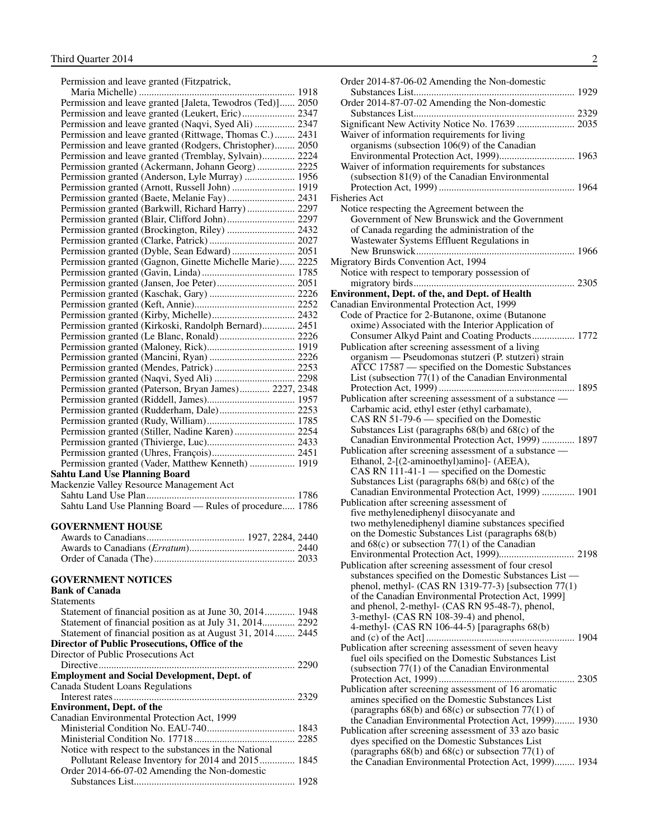<span id="page-3-0"></span>Permission and leave granted (Fitzpatrick,

| Permission and leave granted [Jaleta, Tewodros (Ted)] 2050 |  |
|------------------------------------------------------------|--|
| Permission and leave granted (Leukert, Eric) 2347          |  |
| Permission and leave granted (Naqvi, Syed Ali)  2347       |  |
| Permission and leave granted (Rittwage, Thomas C.)  2431   |  |
| Permission and leave granted (Rodgers, Christopher) 2050   |  |
| Permission and leave granted (Tremblay, Sylvain) 2224      |  |
| Permission granted (Ackermann, Johann Georg)  2225         |  |
| Permission granted (Anderson, Lyle Murray)  1956           |  |
| Permission granted (Arnott, Russell John)  1919            |  |
| Permission granted (Baete, Melanie Fay) 2431               |  |
| Permission granted (Barkwill, Richard Harry)  2297         |  |
|                                                            |  |
| Permission granted (Brockington, Riley)  2432              |  |
|                                                            |  |
| Permission granted (Dyble, Sean Edward) 2051               |  |
| Permission granted (Gagnon, Ginette Michelle Marie) 2225   |  |
|                                                            |  |
|                                                            |  |
|                                                            |  |
|                                                            |  |
|                                                            |  |
| Permission granted (Kirkoski, Randolph Bernard) 2451       |  |
|                                                            |  |
|                                                            |  |
|                                                            |  |
|                                                            |  |
|                                                            |  |
| Permission granted (Paterson, Bryan James) 2227, 2348      |  |
|                                                            |  |
| Permission granted (Rudderham, Dale) 2253                  |  |
|                                                            |  |
| Permission granted (Stiller, Nadine Karen)  2254           |  |
|                                                            |  |
|                                                            |  |
| Permission granted (Vader, Matthew Kenneth)  1919          |  |
| Sahtu Land Use Planning Board                              |  |
| Mackenzie Valley Resource Management Act                   |  |
|                                                            |  |
| Sahtu Land Use Planning Board — Rules of procedure 1786    |  |
|                                                            |  |
| GOVERNMENT HOUSE                                           |  |
|                                                            |  |
|                                                            |  |
|                                                            |  |
| <b>GOVERNMENT NOTICES</b>                                  |  |
| Bank of Canada                                             |  |
| Statements                                                 |  |
| Statement of financial position as at June 30, 2014 1948   |  |
| Statement of financial position as at July 31, 2014 2292   |  |
| Statement of financial position as at August 31, 2014 2445 |  |

**Director of Public Prosecutions, Office of the**

Director of Public Prosecutions Act

| <b>Employment and Social Development, Dept. of</b>                                                                                                                    |  |
|-----------------------------------------------------------------------------------------------------------------------------------------------------------------------|--|
| Canada Student Loans Regulations                                                                                                                                      |  |
|                                                                                                                                                                       |  |
| <b>Environment, Dept. of the</b>                                                                                                                                      |  |
| Canadian Environmental Protection Act. 1999                                                                                                                           |  |
| $\mathbf{M}^{\prime}$ , $\mathbf{M}^{\prime}$ , $\mathbf{M}^{\prime}$ , $\mathbf{M}^{\prime}$ , $\mathbf{M}^{\prime}$ , $\mathbf{M}^{\prime}$ , $\mathbf{M}^{\prime}$ |  |

| Notice with respect to the substances in the National |  |
|-------------------------------------------------------|--|
| Pollutant Release Inventory for 2014 and 2015 1845    |  |
| Order 2014-66-07-02 Amending the Non-domestic         |  |
|                                                       |  |

| Order 2014-87-06-02 Amending the Non-domestic                                                                   |  |
|-----------------------------------------------------------------------------------------------------------------|--|
|                                                                                                                 |  |
| Order 2014-87-07-02 Amending the Non-domestic                                                                   |  |
|                                                                                                                 |  |
|                                                                                                                 |  |
| Waiver of information requirements for living                                                                   |  |
| organisms (subsection 106(9) of the Canadian<br>Environmental Protection Act, 1999) 1963                        |  |
| Waiver of information requirements for substances                                                               |  |
| (subsection 81(9) of the Canadian Environmental                                                                 |  |
|                                                                                                                 |  |
| <b>Fisheries Act</b>                                                                                            |  |
| Notice respecting the Agreement between the                                                                     |  |
| Government of New Brunswick and the Government                                                                  |  |
| of Canada regarding the administration of the                                                                   |  |
| Wastewater Systems Effluent Regulations in                                                                      |  |
|                                                                                                                 |  |
| Migratory Birds Convention Act, 1994                                                                            |  |
| Notice with respect to temporary possession of                                                                  |  |
| Environment, Dept. of the, and Dept. of Health                                                                  |  |
| Canadian Environmental Protection Act, 1999                                                                     |  |
| Code of Practice for 2-Butanone, oxime (Butanone                                                                |  |
| oxime) Associated with the Interior Application of                                                              |  |
| Consumer Alkyd Paint and Coating Products 1772                                                                  |  |
| Publication after screening assessment of a living                                                              |  |
| organism — Pseudomonas stutzeri (P. stutzeri) strain                                                            |  |
| ATCC 17587 — specified on the Domestic Substances                                                               |  |
| List (subsection $7\overline{7}(1)$ of the Canadian Environmental                                               |  |
|                                                                                                                 |  |
| Publication after screening assessment of a substance -<br>Carbamic acid, ethyl ester (ethyl carbamate),        |  |
| CAS RN 51-79-6 — specified on the Domestic                                                                      |  |
| Substances List (paragraphs $68(b)$ and $68(c)$ of the                                                          |  |
| Canadian Environmental Protection Act, 1999)  1897                                                              |  |
| Publication after screening assessment of a substance —                                                         |  |
| Ethanol, 2-[(2-aminoethyl)amino]- (AEEA),                                                                       |  |
| CAS RN 111-41-1 — specified on the Domestic                                                                     |  |
| Substances List (paragraphs $68(b)$ and $68(c)$ of the<br>Canadian Environmental Protection Act, 1999)  1901    |  |
| Publication after screening assessment of                                                                       |  |
| five methylenediphenyl diisocyanate and                                                                         |  |
| two methylenediphenyl diamine substances specified                                                              |  |
| on the Domestic Substances List (paragraphs 68(b)                                                               |  |
| and $68(c)$ or subsection $77(1)$ of the Canadian                                                               |  |
|                                                                                                                 |  |
| Publication after screening assessment of four cresol<br>substances specified on the Domestic Substances List — |  |
| phenol, methyl- (CAS RN 1319-77-3) [subsection 77(1)                                                            |  |
| of the Canadian Environmental Protection Act, 1999]                                                             |  |
| and phenol, 2-methyl- (CAS RN 95-48-7), phenol,                                                                 |  |
| 3-methyl- (CAS RN 108-39-4) and phenol,                                                                         |  |
| 4-methyl- (CAS RN 106-44-5) [paragraphs 68(b)                                                                   |  |
| …… 1904                                                                                                         |  |
| Publication after screening assessment of seven heavy<br>fuel oils specified on the Domestic Substances List    |  |
| (subsection $77(1)$ of the Canadian Environmental                                                               |  |
|                                                                                                                 |  |
| Publication after screening assessment of 16 aromatic                                                           |  |
| amines specified on the Domestic Substances List                                                                |  |
| (paragraphs $68(b)$ and $68(c)$ or subsection $77(1)$ of                                                        |  |
| the Canadian Environmental Protection Act, 1999) 1930                                                           |  |
| Publication after screening assessment of 33 azo basic                                                          |  |
| dyes specified on the Domestic Substances List<br>(paragraphs $68(b)$ and $68(c)$ or subsection $77(1)$ of      |  |
| the Canadian Environmental Protection Act, 1999) 1934                                                           |  |
|                                                                                                                 |  |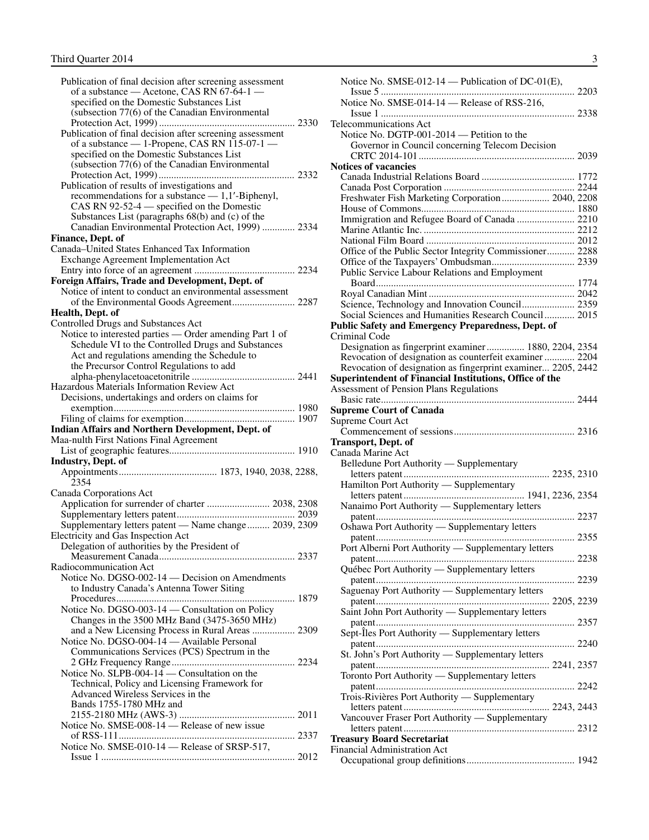| Publication of final decision after screening assessment<br>of a substance — Acetone, CAS RN 67-64-1 —    |
|-----------------------------------------------------------------------------------------------------------|
|                                                                                                           |
| specified on the Domestic Substances List                                                                 |
| (subsection 77(6) of the Canadian Environmental                                                           |
|                                                                                                           |
| Publication of final decision after screening assessment<br>of a substance - 1-Propene, CAS RN 115-07-1 - |
| specified on the Domestic Substances List                                                                 |
| (subsection 77(6) of the Canadian Environmental                                                           |
| Publication of results of investigations and                                                              |
| recommendations for a substance $-1,1'$ -Biphenyl,                                                        |
| CAS RN 92-52-4 — specified on the Domestic                                                                |
| Substances List (paragraphs 68(b) and (c) of the<br>Canadian Environmental Protection Act, 1999)  2334    |
| Finance, Dept. of                                                                                         |
| Canada-United States Enhanced Tax Information                                                             |
| <b>Exchange Agreement Implementation Act</b>                                                              |
| Foreign Affairs, Trade and Development, Dept. of                                                          |
| Notice of intent to conduct an environmental assessment                                                   |
|                                                                                                           |
| Health, Dept. of                                                                                          |
| Controlled Drugs and Substances Act<br>Notice to interested parties — Order amending Part 1 of            |
| Schedule VI to the Controlled Drugs and Substances                                                        |
| Act and regulations amending the Schedule to                                                              |
| the Precursor Control Regulations to add                                                                  |
| Hazardous Materials Information Review Act                                                                |
| Decisions, undertakings and orders on claims for                                                          |
|                                                                                                           |
| Indian Affairs and Northern Development, Dept. of                                                         |
| Maa-nulth First Nations Final Agreement                                                                   |
|                                                                                                           |
| <b>Industry, Dept. of</b>                                                                                 |
|                                                                                                           |
| 2354                                                                                                      |
| Canada Corporations Act                                                                                   |
| Application for surrender of charter  2038, 2308                                                          |
|                                                                                                           |
| Supplementary letters patent — Name change 2039, 2309<br>Electricity and Gas Inspection Act               |
| Delegation of authorities by the President of                                                             |
|                                                                                                           |
| Radiocommunication Act<br>Notice No. DGSO-002-14 - Decision on Amendments                                 |
| to Industry Canada's Antenna Tower Siting                                                                 |
|                                                                                                           |
| Notice No. DGSO-003-14 - Consultation on Policy                                                           |
| Changes in the 3500 MHz Band (3475-3650 MHz)<br>and a New Licensing Process in Rural Areas  2309          |
| Notice No. DGSO-004-14 - Available Personal                                                               |
| Communications Services (PCS) Spectrum in the                                                             |
| Notice No. SLPB-004-14 — Consultation on the                                                              |
| Technical, Policy and Licensing Framework for                                                             |
| Advanced Wireless Services in the                                                                         |
| Bands 1755-1780 MHz and                                                                                   |
| Notice No. SMSE-008-14 - Release of new issue                                                             |
|                                                                                                           |
| Notice No. SMSE-010-14 - Release of SRSP-517,                                                             |

| Notice No. SMSE-012-14 — Publication of DC-01(E),                 |  |
|-------------------------------------------------------------------|--|
|                                                                   |  |
| Notice No. SMSE-014-14 - Release of RSS-216,                      |  |
| <b>Telecommunications Act</b>                                     |  |
| Notice No. DGTP-001-2014 - Petition to the                        |  |
| Governor in Council concerning Telecom Decision                   |  |
|                                                                   |  |
| <b>Notices of vacancies</b>                                       |  |
|                                                                   |  |
|                                                                   |  |
| Freshwater Fish Marketing Corporation 2040, 2208                  |  |
|                                                                   |  |
| Immigration and Refugee Board of Canada  2210                     |  |
|                                                                   |  |
|                                                                   |  |
| Office of the Public Sector Integrity Commissioner 2288           |  |
|                                                                   |  |
| Public Service Labour Relations and Employment                    |  |
|                                                                   |  |
|                                                                   |  |
| Science, Technology and Innovation Council 2359                   |  |
| Social Sciences and Humanities Research Council 2015              |  |
| Public Safety and Emergency Preparedness, Dept. of                |  |
| Criminal Code                                                     |  |
| Designation as fingerprint examiner 1880, 2204, 2354              |  |
| Revocation of designation as counterfeit examiner  2204           |  |
| Revocation of designation as fingerprint examiner 2205, 2442      |  |
| Superintendent of Financial Institutions, Office of the           |  |
| Assessment of Pension Plans Regulations                           |  |
| <b>Supreme Court of Canada</b>                                    |  |
|                                                                   |  |
|                                                                   |  |
| Supreme Court Act                                                 |  |
|                                                                   |  |
| <b>Transport, Dept. of</b>                                        |  |
| Canada Marine Act                                                 |  |
| Belledune Port Authority - Supplementary                          |  |
|                                                                   |  |
| Hamilton Port Authority - Supplementary                           |  |
| Nanaimo Port Authority — Supplementary letters                    |  |
|                                                                   |  |
| Oshawa Port Authority — Supplementary letters                     |  |
|                                                                   |  |
|                                                                   |  |
| Port Alberni Port Authority - Supplementary letters               |  |
| Québec Port Authority — Supplementary letters                     |  |
|                                                                   |  |
| Saguenay Port Authority - Supplementary letters                   |  |
|                                                                   |  |
| Saint John Port Authority - Supplementary letters                 |  |
|                                                                   |  |
| Sept-Îles Port Authority — Supplementary letters                  |  |
|                                                                   |  |
| St. John's Port Authority - Supplementary letters                 |  |
|                                                                   |  |
| Toronto Port Authority — Supplementary letters                    |  |
|                                                                   |  |
| Trois-Rivières Port Authority - Supplementary                     |  |
|                                                                   |  |
| Vancouver Fraser Port Authority - Supplementary                   |  |
|                                                                   |  |
| <b>Treasury Board Secretariat</b><br>Financial Administration Act |  |
|                                                                   |  |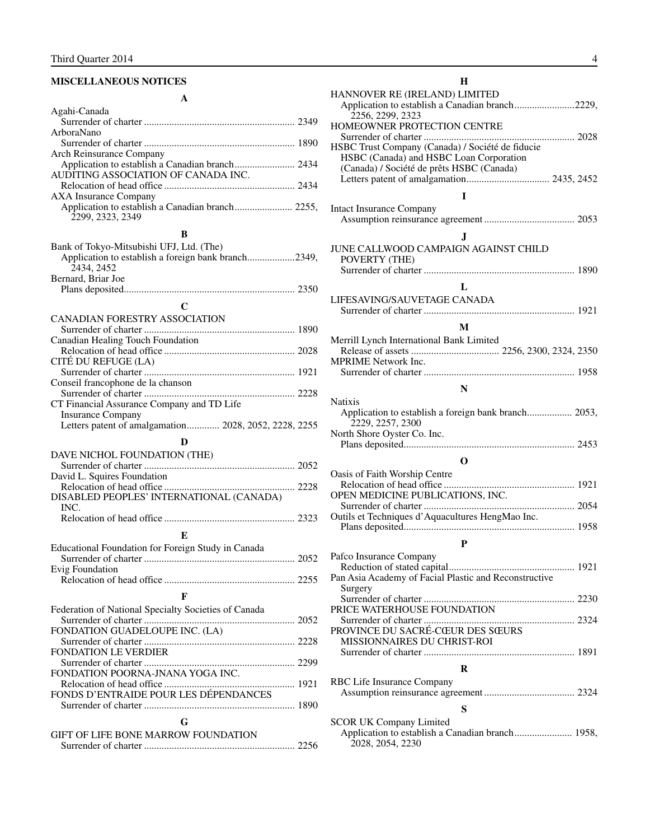#### <span id="page-5-0"></span>**MISCELLANEOUS NOTICES**

| A                                                                                                             |  |
|---------------------------------------------------------------------------------------------------------------|--|
| Agahi-Canada                                                                                                  |  |
| ArboraNano                                                                                                    |  |
|                                                                                                               |  |
| <b>Arch Reinsurance Company</b>                                                                               |  |
| Application to establish a Canadian branch 2434                                                               |  |
| AUDITING ASSOCIATION OF CANADA INC.                                                                           |  |
| <b>AXA Insurance Company</b>                                                                                  |  |
| 2299, 2323, 2349                                                                                              |  |
| B                                                                                                             |  |
| Bank of Tokyo-Mitsubishi UFJ, Ltd. (The)<br>Application to establish a foreign bank branch2349,<br>2434, 2452 |  |
| Bernard, Briar Joe                                                                                            |  |
|                                                                                                               |  |
| $\mathbf C$                                                                                                   |  |
| CANADIAN FORESTRY ASSOCIATION                                                                                 |  |
| Canadian Healing Touch Foundation                                                                             |  |
|                                                                                                               |  |
| CITÉ DU REFUGE (LA)                                                                                           |  |
| Conseil francophone de la chanson                                                                             |  |
|                                                                                                               |  |
| CT Financial Assurance Company and TD Life                                                                    |  |
| <b>Insurance Company</b><br>Letters patent of amalgamation 2028, 2052, 2228, 2255                             |  |
|                                                                                                               |  |
| D                                                                                                             |  |
| DAVE NICHOL FOUNDATION (THE)                                                                                  |  |
| David L. Squires Foundation                                                                                   |  |
| DISABLED PEOPLES' INTERNATIONAL (CANADA)<br>INC.                                                              |  |
|                                                                                                               |  |
| E                                                                                                             |  |
| Educational Foundation for Foreign Study in Canada                                                            |  |
|                                                                                                               |  |
| Evig Foundation                                                                                               |  |
|                                                                                                               |  |
| $\mathbf{F}$                                                                                                  |  |
| Federation of National Specialty Societies of Canada                                                          |  |
| FONDATION GUADELOUPE INC. (LA)                                                                                |  |
|                                                                                                               |  |
| FONDATION LE VERDIER                                                                                          |  |
| FONDATION POORNA-JNANA YOGA INC.                                                                              |  |
|                                                                                                               |  |
| FONDS D'ENTRAIDE POUR LES DÉPENDANCES                                                                         |  |
|                                                                                                               |  |
| G                                                                                                             |  |
| <b>GIFT OF LIFE BONE MARROW FOUNDATION</b>                                                                    |  |
|                                                                                                               |  |

#### **H**

| HANNOVER RE (IRELAND) LIMITED                                        |
|----------------------------------------------------------------------|
| Application to establish a Canadian branch2229,                      |
| 2256, 2299, 2323                                                     |
| HOMEOWNER PROTECTION CENTRE                                          |
|                                                                      |
| HSBC Trust Company (Canada) / Société de fiducie                     |
| HSBC (Canada) and HSBC Loan Corporation                              |
| (Canada) / Société de prêts HSBC (Canada)                            |
|                                                                      |
| T                                                                    |
| <b>Intact Insurance Company</b>                                      |
|                                                                      |
|                                                                      |
| J.                                                                   |
| JUNE CALLWOOD CAMPAIGN AGAINST CHILD                                 |
| POVERTY (THE)                                                        |
|                                                                      |
| L                                                                    |
| LIFESAVING/SAUVETAGE CANADA                                          |
|                                                                      |
|                                                                      |
| M                                                                    |
| Merrill Lynch International Bank Limited                             |
|                                                                      |
| <b>MPRIME</b> Network Inc.                                           |
|                                                                      |
| N                                                                    |
| <b>Natixis</b>                                                       |
| Application to establish a foreign bank branch 2053,                 |
| 2229, 2257, 2300                                                     |
| North Shore Oyster Co. Inc.                                          |
|                                                                      |
|                                                                      |
| O                                                                    |
| Oasis of Faith Worship Centre                                        |
|                                                                      |
|                                                                      |
| OPEN MEDICINE PUBLICATIONS, INC.                                     |
|                                                                      |
| Outils et Techniques d'Aquacultures HengMao Inc.                     |
|                                                                      |
| P                                                                    |
|                                                                      |
| Pafco Insurance Company                                              |
| Pan Asia Academy of Facial Plastic and Reconstructive                |
| Surgery                                                              |
|                                                                      |
| PRICE WATERHOUSE FOUNDATION                                          |
|                                                                      |
| PROVINCE DU SACRÉ-CŒUR DES SŒURS                                     |
| MISSIONNAIRES DU CHRIST-ROI                                          |
|                                                                      |
| $\bf R$                                                              |
|                                                                      |
| RBC Life Insurance Company                                           |
|                                                                      |
| S                                                                    |
| <b>SCOR UK Company Limited</b>                                       |
| Application to establish a Canadian branch 1958,<br>2028, 2054, 2230 |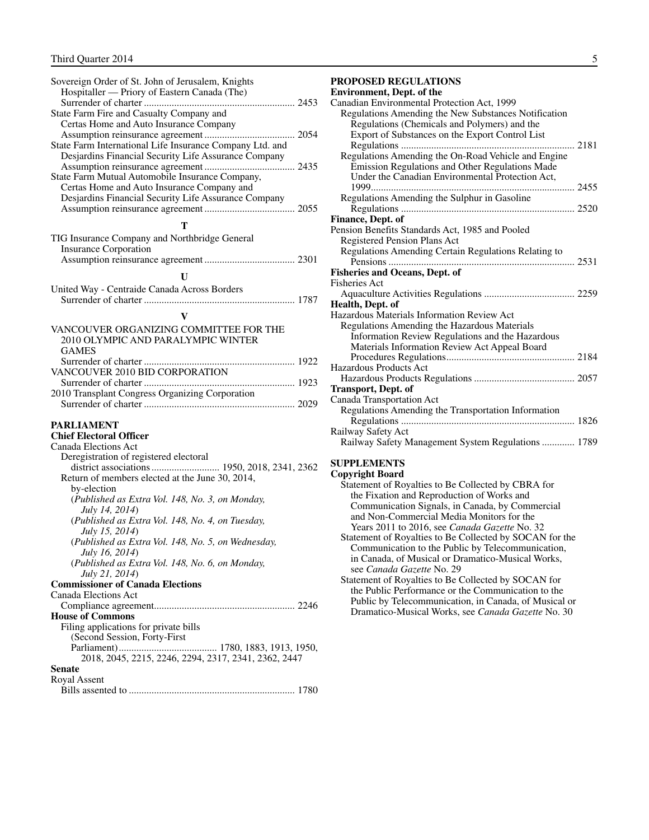<span id="page-6-0"></span>

| Sovereign Order of St. John of Jerusalem, Knights               |
|-----------------------------------------------------------------|
| Hospitaller — Priory of Eastern Canada (The)                    |
|                                                                 |
| State Farm Fire and Casualty Company and                        |
| Certas Home and Auto Insurance Company                          |
|                                                                 |
| State Farm International Life Insurance Company Ltd. and        |
| Desjardins Financial Security Life Assurance Company            |
|                                                                 |
| State Farm Mutual Automobile Insurance Company,                 |
| Certas Home and Auto Insurance Company and                      |
| Desjardins Financial Security Life Assurance Company            |
|                                                                 |
| т                                                               |
| TIG Insurance Company and Northbridge General                   |
| <b>Insurance Corporation</b>                                    |
|                                                                 |
|                                                                 |
| U                                                               |
| United Way - Centraide Canada Across Borders                    |
|                                                                 |
| $\mathbf{V}$                                                    |
|                                                                 |
| VANCOUVER ORGANIZING COMMITTEE FOR THE                          |
| 2010 OLYMPIC AND PARALYMPIC WINTER                              |
| <b>GAMES</b>                                                    |
|                                                                 |
| VANCOUVER 2010 BID CORPORATION                                  |
|                                                                 |
|                                                                 |
| 2010 Transplant Congress Organizing Corporation                 |
|                                                                 |
|                                                                 |
| <b>PARLIAMENT</b>                                               |
| <b>Chief Electoral Officer</b>                                  |
| Canada Elections Act                                            |
| Deregistration of registered electoral                          |
|                                                                 |
| Return of members elected at the June 30, 2014,                 |
| by-election                                                     |
| (Published as Extra Vol. 148, No. 3, on Monday,                 |
| July 14, 2014)                                                  |
| (Published as Extra Vol. 148, No. 4, on Tuesday,                |
| <i>July 15, 2014</i> )                                          |
| (Published as Extra Vol. 148, No. 5, on Wednesday,              |
| <i>July 16, 2014</i> )                                          |
| (Published as Extra Vol. 148, No. 6, on Monday,                 |
| <i>July 21, 2014</i> )                                          |
| <b>Commissioner of Canada Elections</b><br>Canada Elections Act |
|                                                                 |
| <b>House of Commons</b>                                         |
|                                                                 |
| Filing applications for private bills                           |
| (Second Session, Forty-First                                    |
|                                                                 |
| 2018, 2045, 2215, 2246, 2294, 2317, 2341, 2362, 2447<br>Senate  |
| Royal Assent                                                    |

#### **PROPOSED REGULATIONS**

| <b>Environment, Dept. of the</b>                     |  |
|------------------------------------------------------|--|
| Canadian Environmental Protection Act, 1999          |  |
| Regulations Amending the New Substances Notification |  |
| Regulations (Chemicals and Polymers) and the         |  |
| Export of Substances on the Export Control List      |  |
|                                                      |  |
| Regulations Amending the On-Road Vehicle and Engine  |  |
| Emission Regulations and Other Regulations Made      |  |
| Under the Canadian Environmental Protection Act,     |  |
| $1999$                                               |  |
| Regulations Amending the Sulphur in Gasoline         |  |
|                                                      |  |
| Finance, Dept. of                                    |  |
| Pension Benefits Standards Act, 1985 and Pooled      |  |
| Registered Pension Plans Act                         |  |
| Regulations Amending Certain Regulations Relating to |  |
|                                                      |  |
| <b>Fisheries and Oceans, Dept. of</b>                |  |
| Fisheries Act                                        |  |
|                                                      |  |
| Health, Dept. of                                     |  |
| Hazardous Materials Information Review Act           |  |
| Regulations Amending the Hazardous Materials         |  |
| Information Review Regulations and the Hazardous     |  |
| Materials Information Review Act Appeal Board        |  |
|                                                      |  |
| Hazardous Products Act                               |  |
|                                                      |  |
| <b>Transport, Dept. of</b>                           |  |
| Canada Transportation Act                            |  |
| Regulations Amending the Transportation Information  |  |
|                                                      |  |
| Railway Safety Act                                   |  |
| Railway Safety Management System Regulations  1789   |  |

#### **SUPPLEMENTS**

| <b>Copyright Board</b>                                  |
|---------------------------------------------------------|
| Statement of Royalties to Be Collected by CBRA for      |
| the Fixation and Reproduction of Works and              |
| Communication Signals, in Canada, by Commercial         |
| and Non-Commercial Media Monitors for the               |
| Years 2011 to 2016, see <i>Canada Gazette</i> No. 32    |
| Statement of Royalties to Be Collected by SOCAN for the |
| Communication to the Public by Telecommunication,       |
| in Canada, of Musical or Dramatico-Musical Works,       |
| see Canada Gazette No. 29                               |
| Statement of Royalties to Be Collected by SOCAN for     |
| the Public Performance or the Communication to the      |
| Public by Telecommunication, in Canada, of Musical or   |
| Dramatico-Musical Works, see Canada Gazette No. 30      |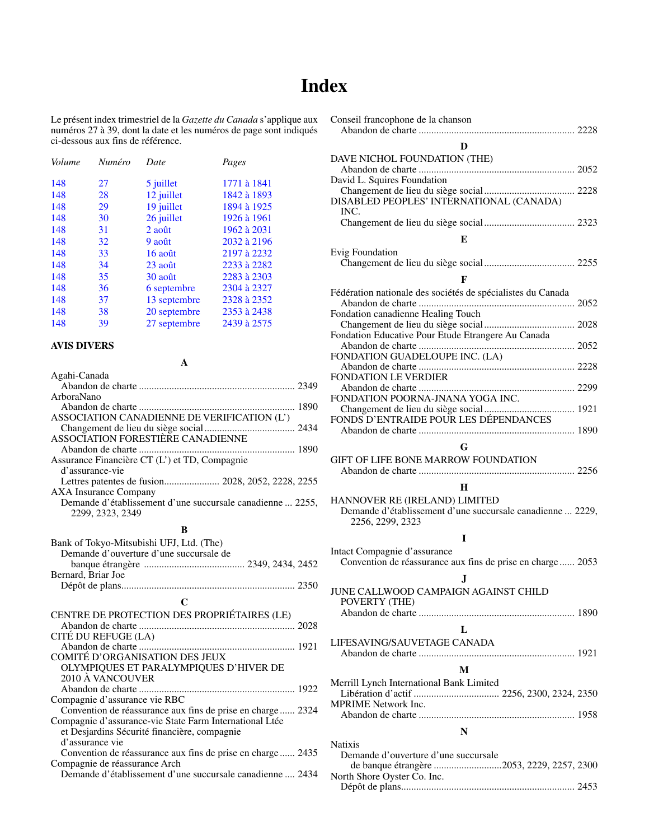## **Index**

Conseil francophone de la chanson

Abandon de charte .............................................................. 2228

<span id="page-7-0"></span>Le présent index trimestriel de la *Gazette du Canada* s'applique aux numéros 27 à 39, dont la date et les numéros de page sont indiqués ci-dessous aux fins de référence.

| Numéro | Date               | Pages       |
|--------|--------------------|-------------|
| 27     | 5 juillet          | 1771 à 1841 |
| 28     | 12 juillet         | 1842 à 1893 |
| 29     | 19 juillet         | 1894 à 1925 |
| 30     | 26 juillet         | 1926 à 1961 |
| 31     | $2$ ao $\hat{u}$ t | 1962 à 2031 |
| 32     | 9 août             | 2032 à 2196 |
| 33     | 16 août            | 2197 à 2232 |
| 34     | $23$ août          | 2233 à 2282 |
| 35     | 30 août            | 2283 à 2303 |
| 36     | 6 septembre        | 2304 à 2327 |
| 37     | 13 septembre       | 2328 à 2352 |
| 38     | 20 septembre       | 2353 à 2438 |
| 39     | 27 septembre       | 2439 à 2575 |
|        |                    |             |

#### **AVIS DIVERS**

**A**

| Agahi-Canada                                               |
|------------------------------------------------------------|
|                                                            |
| ArboraNano                                                 |
|                                                            |
| ASSOCIATION CANADIENNE DE VERIFICATION (L')                |
|                                                            |
| ASSOCIATION FORESTIÈRE CANADIENNE                          |
|                                                            |
| Assurance Financière CT (L') et TD, Compagnie              |
| d'assurance-vie                                            |
| Lettres patentes de fusion 2028, 2052, 2228, 2255          |
| <b>AXA Insurance Company</b>                               |
| Demande d'établissement d'une succursale canadienne  2255, |
| 2299, 2323, 2349                                           |
| B                                                          |
| Bank of Tokyo-Mitsubishi UFJ, Ltd. (The)                   |
| Demande d'ouverture d'une succursale de                    |
|                                                            |
| Bernard, Briar Joe                                         |
|                                                            |
| $\mathsf{C}$                                               |
|                                                            |
| CENTRE DE PROTECTION DES PROPRIÉTAIRES (LE)                |
|                                                            |
| CITÉ DU REFUGE (LA)                                        |
| COMITÉ D'ORGANISATION DES JEUX                             |
| OLYMPIQUES ET PARALYMPIQUES D'HIVER DE                     |
| 2010 À VANCOUVER                                           |
|                                                            |

| nard, Briar Joe                           |  |
|-------------------------------------------|--|
|                                           |  |
|                                           |  |
| NTRE DE PROTECTION DES PROPRIÉTAIRES (LE) |  |
|                                           |  |
| É DU REFUGE (LA)                          |  |
|                                           |  |

Abandon de charte .............................................................. 1922

Convention de réassurance aux fins de prise en charge ...... 2324

Convention de réassurance aux fins de prise en charge ...... 2435

Compagnie d'assurance-vie State Farm International Ltée et Desjardins Sécurité financière, compagnie

Compagnie d'assurance vie RBC

d'assurance vie

| D                                                                                          |
|--------------------------------------------------------------------------------------------|
| DAVE NICHOL FOUNDATION (THE)                                                               |
|                                                                                            |
| David L. Squires Foundation                                                                |
| DISABLED PEOPLES' INTERNATIONAL (CANADA)<br>INC.                                           |
|                                                                                            |
| E                                                                                          |
| Evig Foundation                                                                            |
|                                                                                            |
| F                                                                                          |
| Fédération nationale des sociétés de spécialistes du Canada                                |
|                                                                                            |
| Fondation canadienne Healing Touch                                                         |
| Fondation Educative Pour Etude Etrangere Au Canada                                         |
|                                                                                            |
| FONDATION GUADELOUPE INC. (LA)                                                             |
|                                                                                            |
| FONDATION LE VERDIER                                                                       |
| FONDATION POORNA-JNANA YOGA INC.                                                           |
|                                                                                            |
|                                                                                            |
|                                                                                            |
| G                                                                                          |
| GIFT OF LIFE BONE MARROW FOUNDATION                                                        |
|                                                                                            |
| Н                                                                                          |
| HANNOVER RE (IRELAND) LIMITED                                                              |
| Demande d'établissement d'une succursale canadienne  2229,<br>2256, 2299, 2323             |
|                                                                                            |
| I                                                                                          |
| Intact Compagnie d'assurance<br>Convention de réassurance aux fins de prise en charge 2053 |
|                                                                                            |
| J                                                                                          |
| JUNE CALLWOOD CAMPAIGN AGAINST CHILD<br>POVERTY (THE)                                      |
|                                                                                            |
|                                                                                            |
| L                                                                                          |
| LIFESAVING/SAUVETAGE CANADA                                                                |
|                                                                                            |
| M                                                                                          |
| Merrill Lynch International Bank Limited                                                   |
| <b>MPRIME</b> Network Inc.                                                                 |
|                                                                                            |
| N                                                                                          |
| <b>Natixis</b>                                                                             |
| Demande d'ouverture d'une succursale                                                       |
| de banque étrangère 2053, 2229, 2257, 2300                                                 |

Compagnie de réassurance Arch Demande d'établissement d'une succursale canadienne .... 2434 North Shore Oyster Co. Inc. Dépôt de plans..................................................................... 2453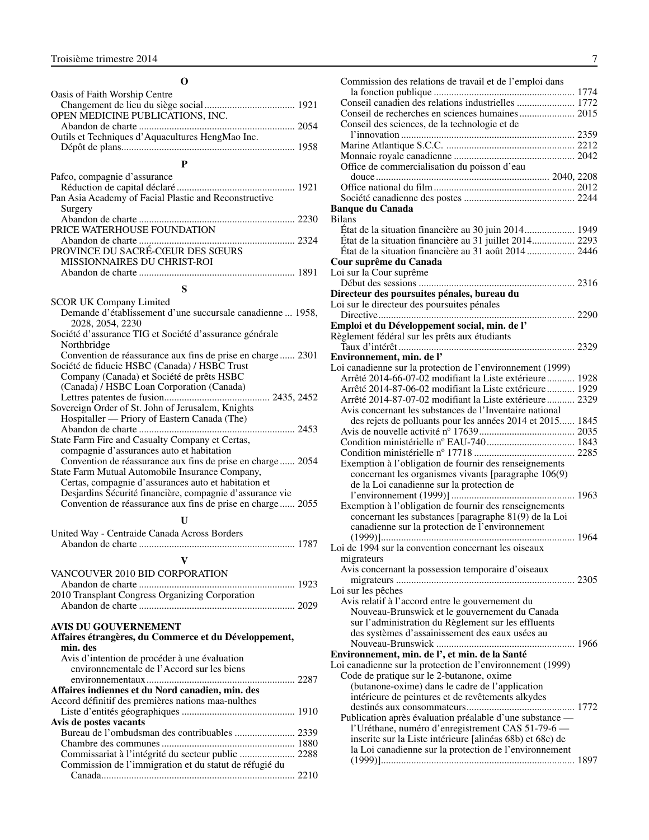#### **O**

<span id="page-8-0"></span>

| Oasis of Faith Worship Centre                                                                                     |  |
|-------------------------------------------------------------------------------------------------------------------|--|
|                                                                                                                   |  |
| OPEN MEDICINE PUBLICATIONS, INC.                                                                                  |  |
|                                                                                                                   |  |
| Outils et Techniques d'Aquacultures HengMao Inc.                                                                  |  |
|                                                                                                                   |  |
| $\mathbf{P}$                                                                                                      |  |
| Pafco, compagnie d'assurance                                                                                      |  |
|                                                                                                                   |  |
| Pan Asia Academy of Facial Plastic and Reconstructive                                                             |  |
| Surgery                                                                                                           |  |
|                                                                                                                   |  |
| PRICE WATERHOUSE FOUNDATION                                                                                       |  |
|                                                                                                                   |  |
| PROVINCE DU SACRÉ-CŒUR DES SŒURS                                                                                  |  |
| MISSIONNAIRES DU CHRIST-ROI                                                                                       |  |
|                                                                                                                   |  |
| S                                                                                                                 |  |
|                                                                                                                   |  |
| <b>SCOR UK Company Limited</b>                                                                                    |  |
| Demande d'établissement d'une succursale canadienne  1958,<br>2028, 2054, 2230                                    |  |
| Société d'assurance TIG et Société d'assurance générale                                                           |  |
| Northbridge                                                                                                       |  |
| Convention de réassurance aux fins de prise en charge  2301                                                       |  |
| Société de fiducie HSBC (Canada) / HSBC Trust                                                                     |  |
| Company (Canada) et Société de prêts HSBC                                                                         |  |
| (Canada) / HSBC Loan Corporation (Canada)                                                                         |  |
|                                                                                                                   |  |
| Sovereign Order of St. John of Jerusalem, Knights                                                                 |  |
| Hospitaller — Priory of Eastern Canada (The)                                                                      |  |
|                                                                                                                   |  |
| State Farm Fire and Casualty Company et Certas,                                                                   |  |
| compagnie d'assurances auto et habitation                                                                         |  |
| Convention de réassurance aux fins de prise en charge 2054                                                        |  |
| State Farm Mutual Automobile Insurance Company,                                                                   |  |
| Certas, compagnie d'assurances auto et habitation et<br>Desjardins Sécurité financière, compagnie d'assurance vie |  |
| Convention de réassurance aux fins de prise en charge 2055                                                        |  |
|                                                                                                                   |  |
| U                                                                                                                 |  |
| United Way - Centraide Canada Across Borders                                                                      |  |
|                                                                                                                   |  |
| V                                                                                                                 |  |
| VANCOUVER 2010 BID CORPORATION                                                                                    |  |
|                                                                                                                   |  |
| 2010 Transplant Congress Organizing Corporation                                                                   |  |
|                                                                                                                   |  |
|                                                                                                                   |  |
| <b>AVIS DU GOUVERNEMENT</b>                                                                                       |  |
| Affaires étrangères, du Commerce et du Développement,                                                             |  |
| min. des                                                                                                          |  |
| Avis d'intention de procéder à une évaluation                                                                     |  |
| environnementale de l'Accord sur les biens                                                                        |  |
|                                                                                                                   |  |
| Affaires indiennes et du Nord canadien, min. des                                                                  |  |
| Accord définitif des premières nations maa-nulthes                                                                |  |
| Avis de postes vacants                                                                                            |  |
| Bureau de l'ombudsman des contribuables  2339                                                                     |  |
|                                                                                                                   |  |
| Commissariat à l'intégrité du secteur public  2288                                                                |  |
| Commission de l'immigration et du statut de réfugié du                                                            |  |
|                                                                                                                   |  |

| Commission des relations de travail et de l'emploi dans                                 |  |
|-----------------------------------------------------------------------------------------|--|
|                                                                                         |  |
| Conseil canadien des relations industrielles  1772                                      |  |
|                                                                                         |  |
| Conseil des sciences, de la technologie et de                                           |  |
|                                                                                         |  |
|                                                                                         |  |
|                                                                                         |  |
| Office de commercialisation du poisson d'eau                                            |  |
|                                                                                         |  |
|                                                                                         |  |
|                                                                                         |  |
| <b>Banque du Canada</b>                                                                 |  |
| <b>Bilans</b>                                                                           |  |
| État de la situation financière au 30 juin 2014 1949                                    |  |
| État de la situation financière au 31 juillet 2014 2293                                 |  |
|                                                                                         |  |
| Cour suprême du Canada                                                                  |  |
| Loi sur la Cour suprême                                                                 |  |
|                                                                                         |  |
| Directeur des poursuites pénales, bureau du                                             |  |
| Loi sur le directeur des poursuites pénales                                             |  |
|                                                                                         |  |
| Emploi et du Développement social, min. de l'                                           |  |
| Règlement fédéral sur les prêts aux étudiants                                           |  |
|                                                                                         |  |
| Environnement, min. de l'<br>Loi canadienne sur la protection de l'environnement (1999) |  |
| Arrêté 2014-66-07-02 modifiant la Liste extérieure 1928                                 |  |
| Arrêté 2014-87-06-02 modifiant la Liste extérieure 1929                                 |  |
| Arrêté 2014-87-07-02 modifiant la Liste extérieure 2329                                 |  |
| Avis concernant les substances de l'Inventaire national                                 |  |
| des rejets de polluants pour les années 2014 et 2015 1845                               |  |
|                                                                                         |  |
|                                                                                         |  |
|                                                                                         |  |
| Exemption à l'obligation de fournir des renseignements                                  |  |
| concernant les organismes vivants [paragraphe 106(9)                                    |  |
| de la Loi canadienne sur la protection de                                               |  |
|                                                                                         |  |
| Exemption à l'obligation de fournir des renseignements                                  |  |
| concernant les substances [paragraphe 81(9) de la Loi                                   |  |
| canadienne sur la protection de l'environnement                                         |  |
|                                                                                         |  |
| Loi de 1994 sur la convention concernant les oiseaux                                    |  |
| migrateurs                                                                              |  |
| Avis concernant la possession temporaire d'oiseaux                                      |  |
|                                                                                         |  |
| Loi sur les pêches                                                                      |  |
| Avis relatif à l'accord entre le gouvernement du                                        |  |
| Nouveau-Brunswick et le gouvernement du Canada                                          |  |
| sur l'administration du Règlement sur les effluents                                     |  |
| des systèmes d'assainissement des eaux usées au                                         |  |
|                                                                                         |  |
| Environnement, min. de l', et min. de la Santé                                          |  |
| Loi canadienne sur la protection de l'environnement (1999)                              |  |
| Code de pratique sur le 2-butanone, oxime                                               |  |
| (butanone-oxime) dans le cadre de l'application                                         |  |
| intérieure de peintures et de revêtements alkydes                                       |  |
| Publication après évaluation préalable d'une substance -                                |  |
| l'Uréthane, numéro d'enregistrement CAS 51-79-6 -                                       |  |
| inscrite sur la Liste intérieure [alinéas 68b) et 68c) de                               |  |
| la Loi canadienne sur la protection de l'environnement                                  |  |
|                                                                                         |  |
|                                                                                         |  |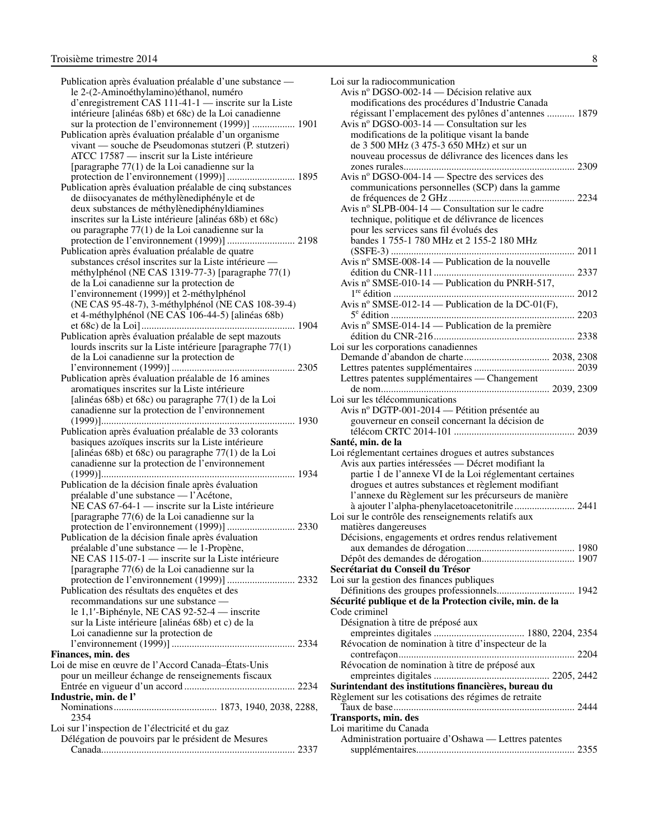Publication après évaluation préalable d'une substance le 2-(2-Aminoéthylamino)éthanol, numéro d'enregistrement CAS 111-41-1 — inscrite sur la Liste intérieure [alinéas 68b) et 68c) de la Loi canadienne sur la protection de l'environnement (1999)] ................. 1901 Publication après évaluation préalable d'un organisme vivant — souche de Pseudomonas stutzeri (P. stutzeri) ATCC 17587 — inscrit sur la Liste intérieure [paragraphe 77(1) de la Loi canadienne sur la protection de l'environnement (1999)] ........................... 1895 Publication après évaluation préalable de cinq substances de diisocyanates de méthylènediphényle et de deux substances de méthylènediphényldiamines inscrites sur la Liste intérieure [alinéas 68b) et 68c) ou paragraphe 77(1) de la Loi canadienne sur la protection de l'environnement (1999)] ........................... 2198 Publication après évaluation préalable de quatre substances crésol inscrites sur la Liste intérieure méthylphénol (NE CAS 1319-77-3) [paragraphe 77(1) de la Loi canadienne sur la protection de l'environnement (1999)] et 2-méthylphénol (NE CAS 95-48-7), 3-méthylphénol (NE CAS 108-39-4) et 4-méthylphénol (NE CAS 106-44-5) [alinéas 68b) et 68c) de la Loi]............................................................. 1904 Publication après évaluation préalable de sept mazouts lourds inscrits sur la Liste intérieure [paragraphe 77(1) de la Loi canadienne sur la protection de l'environnement (1999)] ................................................. 2305 Publication après évaluation préalable de 16 amines aromatiques inscrites sur la Liste intérieure [alinéas 68b) et 68c) ou paragraphe 77(1) de la Loi canadienne sur la protection de l'environnement (1999)]............................................................................. 1930 Publication après évaluation préalable de 33 colorants basiques azoïques inscrits sur la Liste intérieure [alinéas 68b) et 68c) ou paragraphe 77(1) de la Loi canadienne sur la protection de l'environnement (1999)]............................................................................. 1934 Publication de la décision finale après évaluation préalable d'une substance — l'Acétone, NE CAS 67-64-1 — inscrite sur la Liste intérieure [paragraphe 77(6) de la Loi canadienne sur la protection de l'environnement (1999)] ........................... 2330 Publication de la décision finale après évaluation préalable d'une substance — le 1-Propène, NE CAS 115-07-1 — inscrite sur la Liste intérieure [paragraphe 77(6) de la Loi canadienne sur la protection de l'environnement (1999)] ........................... 2332 Publication des résultats des enquêtes et des recommandations sur une substance le 1,1′-Biphényle, NE CAS 92-52-4 — inscrite sur la Liste intérieure [alinéas 68b) et c) de la Loi canadienne sur la protection de l'environnement (1999)] ................................................. 2334 **Finances, min. des**  Loi de mise en œuvre de l'Accord Canada–États-Unis pour un meilleur échange de renseignements fiscaux Entrée en vigueur d'un accord ............................................ 2234 **Industrie, min. de l'** Nominations......................................... 1873, 1940, 2038, 2288, 2354 Loi sur l'inspection de l'électricité et du gaz Délégation de pouvoirs par le président de Mesures Canada............................................................................. 2337

| Loi sur la radiocommunication                            |  |
|----------------------------------------------------------|--|
| Avis nº DGSO-002-14 — Décision relative aux              |  |
| modifications des procédures d'Industrie Canada          |  |
| régissant l'emplacement des pylônes d'antennes  1879     |  |
| Avis nº DGSO-003-14 — Consultation sur les               |  |
| modifications de la politique visant la bande            |  |
| de 3 500 MHz (3 475-3 650 MHz) et sur un                 |  |
| nouveau processus de délivrance des licences dans les    |  |
|                                                          |  |
| Avis nº DGSO-004-14 — Spectre des services des           |  |
| communications personnelles (SCP) dans la gamme          |  |
|                                                          |  |
| Avis nº SLPB-004-14 — Consultation sur le cadre          |  |
| technique, politique et de délivrance de licences        |  |
| pour les services sans fil évolués des                   |  |
| bandes 1 755-1 780 MHz et 2 155-2 180 MHz                |  |
|                                                          |  |
| Avis nº SMSE-008-14 — Publication de la nouvelle         |  |
|                                                          |  |
| Avis nº SMSE-010-14 — Publication du PNRH-517,           |  |
|                                                          |  |
| Avis nº SMSE-012-14 — Publication de la DC-01(F),        |  |
|                                                          |  |
| Avis nº SMSE-014-14 — Publication de la première         |  |
|                                                          |  |
| Loi sur les corporations canadiennes                     |  |
|                                                          |  |
|                                                          |  |
| Lettres patentes supplémentaires — Changement            |  |
|                                                          |  |
| Loi sur les télécommunications                           |  |
| Avis nº DGTP-001-2014 — Pétition présentée au            |  |
| gouverneur en conseil concernant la décision de          |  |
|                                                          |  |
| Santé, min. de la                                        |  |
| Loi réglementant certaines drogues et autres substances  |  |
| Avis aux parties intéressées - Décret modifiant la       |  |
| partie 1 de l'annexe VI de la Loi réglementant certaines |  |
| drogues et autres substances et règlement modifiant      |  |
| l'annexe du Règlement sur les précurseurs de manière     |  |
| à ajouter l'alpha-phenylacetoacetonitrile 2441           |  |
| Loi sur le contrôle des renseignements relatifs aux      |  |
| matières dangereuses                                     |  |
| Décisions, engagements et ordres rendus relativement     |  |
|                                                          |  |
|                                                          |  |
| Secrétariat du Conseil du Trésor                         |  |
| Loi sur la gestion des finances publiques                |  |
|                                                          |  |
| Sécurité publique et de la Protection civile, min. de la |  |
| Code criminel                                            |  |
| Désignation à titre de préposé aux                       |  |
|                                                          |  |
| Révocation de nomination à titre d'inspecteur de la      |  |
|                                                          |  |
| Révocation de nomination à titre de préposé aux          |  |
|                                                          |  |
| Surintendant des institutions financières, bureau du     |  |
| Règlement sur les cotisations des régimes de retraite    |  |
|                                                          |  |
| Transports, min. des                                     |  |
| Loi maritime du Canada                                   |  |
| Administration portuaire d'Oshawa — Lettres patentes     |  |
|                                                          |  |
|                                                          |  |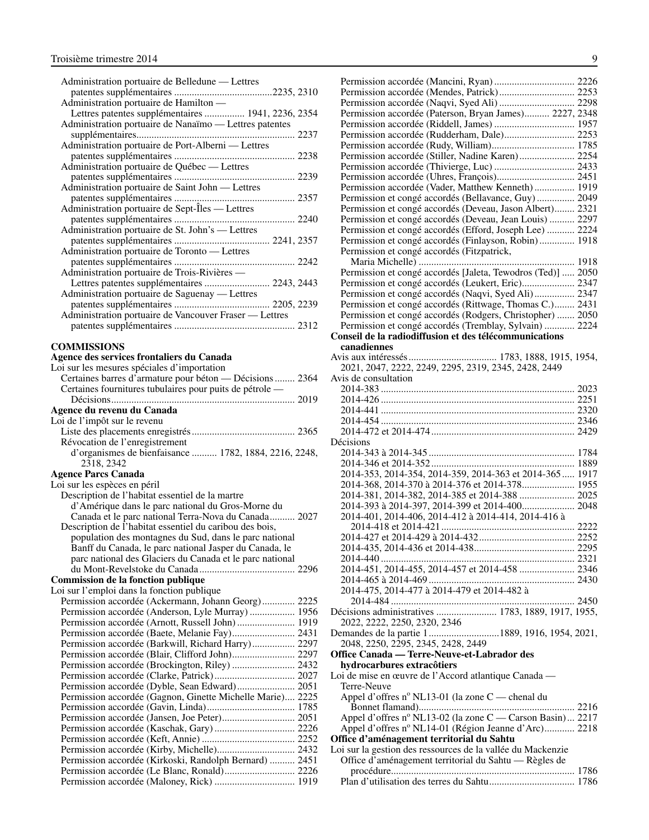<span id="page-10-0"></span>

| Administration portuaire de Belledune — Lettres        |
|--------------------------------------------------------|
|                                                        |
| Administration portuaire de Hamilton —                 |
| Lettres patentes supplémentaires  1941, 2236, 2354     |
| Administration portuaire de Nanaïmo — Lettres patentes |
|                                                        |
| Administration portuaire de Port-Alberni - Lettres     |
|                                                        |
| Administration portuaire de Québec — Lettres           |
|                                                        |
| Administration portuaire de Saint John — Lettres       |
|                                                        |
| Administration portuaire de Sept-Îles — Lettres        |
|                                                        |
| Administration portuaire de St. John's - Lettres       |
|                                                        |
| Administration portuaire de Toronto - Lettres          |
|                                                        |
| Administration portuaire de Trois-Rivières -           |
| Lettres patentes supplémentaires  2243, 2443           |
| Administration portuaire de Saguenay — Lettres         |
|                                                        |
| Administration portuaire de Vancouver Fraser — Lettres |
|                                                        |
| <b>'OMMISSIONS</b>                                     |

#### **COMMISSIONS**

#### **Agence des services frontaliers du Canada**

| Loi sur les mesures spéciales d'importation               |  |
|-----------------------------------------------------------|--|
| Certaines barres d'armature pour béton — Décisions  2364  |  |
| Certaines fournitures tubulaires pour puits de pétrole —  |  |
|                                                           |  |
| Agence du revenu du Canada                                |  |
| Loi de l'impôt sur le revenu                              |  |
|                                                           |  |
| Révocation de l'enregistrement                            |  |
| d'organismes de bienfaisance  1782, 1884, 2216, 2248,     |  |
| 2318, 2342                                                |  |
| <b>Agence Parcs Canada</b>                                |  |
| Loi sur les espèces en péril                              |  |
| Description de l'habitat essentiel de la martre           |  |
| d'Amérique dans le parc national du Gros-Morne du         |  |
| Canada et le parc national Terra-Nova du Canada 2027      |  |
| Description de l'habitat essentiel du caribou des bois,   |  |
| population des montagnes du Sud, dans le parc national    |  |
| Banff du Canada, le parc national Jasper du Canada, le    |  |
| parc national des Glaciers du Canada et le parc national  |  |
|                                                           |  |
| <b>Commission de la fonction publique</b>                 |  |
| Loi sur l'emploi dans la fonction publique                |  |
| Permission accordée (Ackermann, Johann Georg) 2225        |  |
| Permission accordée (Anderson, Lyle Murray) 1956          |  |
| Permission accordée (Arnott, Russell John) 1919           |  |
|                                                           |  |
| Permission accordée (Barkwill, Richard Harry) 2297        |  |
|                                                           |  |
| Permission accordée (Brockington, Riley)  2432            |  |
|                                                           |  |
| Permission accordée (Dyble, Sean Edward) 2051             |  |
| Permission accordée (Gagnon, Ginette Michelle Marie) 2225 |  |
|                                                           |  |
|                                                           |  |
|                                                           |  |
|                                                           |  |
|                                                           |  |
| Permission accordée (Kirkoski, Randolph Bernard)  2451    |  |
|                                                           |  |
|                                                           |  |

| Permission accordée (Mendes, Patrick) 2253                                                                         |  |
|--------------------------------------------------------------------------------------------------------------------|--|
| Permission accordée (Naqvi, Syed Ali)  2298                                                                        |  |
| Permission accordée (Paterson, Bryan James) 2227, 2348                                                             |  |
|                                                                                                                    |  |
| Permission accordée (Rudderham, Dale) 2253                                                                         |  |
|                                                                                                                    |  |
| Permission accordée (Stiller, Nadine Karen) 2254                                                                   |  |
|                                                                                                                    |  |
|                                                                                                                    |  |
| Permission accordée (Vader, Matthew Kenneth) 1919                                                                  |  |
| Permission et congé accordés (Bellavance, Guy) 2049                                                                |  |
| Permission et congé accordés (Deveau, Jason Albert) 2321                                                           |  |
| Permission et congé accordés (Deveau, Jean Louis)  2297                                                            |  |
| Permission et congé accordés (Efford, Joseph Lee)  2224                                                            |  |
| Permission et congé accordés (Finlayson, Robin) 1918                                                               |  |
| Permission et congé accordés (Fitzpatrick,                                                                         |  |
|                                                                                                                    |  |
| Permission et congé accordés [Jaleta, Tewodros (Ted)]  2050                                                        |  |
|                                                                                                                    |  |
| Permission et congé accordés (Leukert, Eric) 2347                                                                  |  |
| Permission et congé accordés (Naqvi, Syed Ali) 2347                                                                |  |
| Permission et congé accordés (Rittwage, Thomas C.) 2431                                                            |  |
| Permission et congé accordés (Rodgers, Christopher)  2050                                                          |  |
| Permission et congé accordés (Tremblay, Sylvain)  2224                                                             |  |
| Conseil de la radiodiffusion et des télécommunications                                                             |  |
| canadiennes                                                                                                        |  |
|                                                                                                                    |  |
| 2021, 2047, 2222, 2249, 2295, 2319, 2345, 2428, 2449                                                               |  |
| Avis de consultation                                                                                               |  |
|                                                                                                                    |  |
|                                                                                                                    |  |
|                                                                                                                    |  |
|                                                                                                                    |  |
|                                                                                                                    |  |
| Décisions                                                                                                          |  |
|                                                                                                                    |  |
|                                                                                                                    |  |
|                                                                                                                    |  |
| 2014-353, 2014-354, 2014-359, 2014-363 et 2014-365 1917                                                            |  |
| 2014-368, 2014-370 à 2014-376 et 2014-378 1955                                                                     |  |
| 2014-381, 2014-382, 2014-385 et 2014-388  2025                                                                     |  |
| 2014-393 à 2014-397, 2014-399 et 2014-400 2048                                                                     |  |
|                                                                                                                    |  |
| 2014-401, 2014-406, 2014-412 à 2014-414, 2014-416 à                                                                |  |
|                                                                                                                    |  |
|                                                                                                                    |  |
|                                                                                                                    |  |
|                                                                                                                    |  |
| 2014-451, 2014-455, 2014-457 et 2014-458  2346                                                                     |  |
|                                                                                                                    |  |
| 2014-475, 2014-477 à 2014-479 et 2014-482 à                                                                        |  |
|                                                                                                                    |  |
| Décisions administratives  1783, 1889, 1917, 1955,                                                                 |  |
| 2022, 2222, 2250, 2320, 2346                                                                                       |  |
| Demandes de la partie 11889, 1916, 1954, 2021,                                                                     |  |
| 2048, 2250, 2295, 2345, 2428, 2449                                                                                 |  |
| Office Canada - Terre-Neuve-et-Labrador des                                                                        |  |
| hydrocarbures extracôtiers<br>Loi de mise en œuvre de l'Accord atlantique Canada —                                 |  |
| Terre-Neuve                                                                                                        |  |
| Appel d'offres nº NL13-01 (la zone C — chenal du                                                                   |  |
|                                                                                                                    |  |
|                                                                                                                    |  |
| Appel d'offres nº NL13-02 (la zone C - Carson Basin)  2217<br>Appel d'offres nº NL14-01 (Région Jeanne d'Arc) 2218 |  |
| Office d'aménagement territorial du Sahtu                                                                          |  |
| Loi sur la gestion des ressources de la vallée du Mackenzie                                                        |  |
| Office d'aménagement territorial du Sahtu — Règles de                                                              |  |
|                                                                                                                    |  |